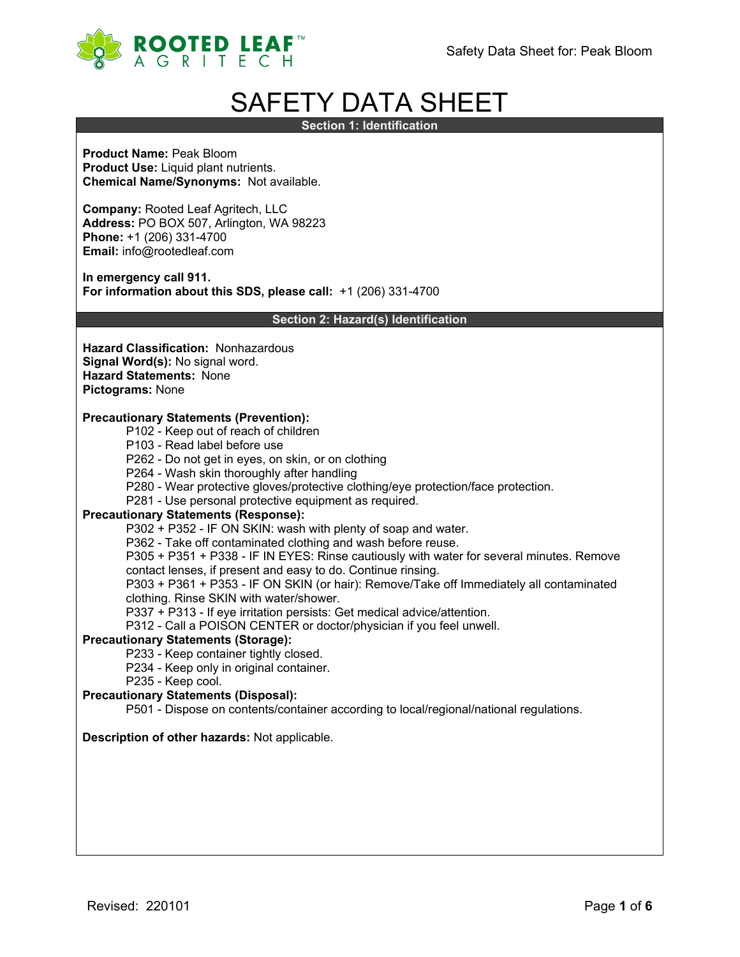

# SAFETY DATA SHEET

**Section 1: Identification**

**Product Name:** Peak Bloom **Product Use:** Liquid plant nutrients. **Chemical Name/Synonyms:** Not available.

**Company:** Rooted Leaf Agritech, LLC **Address:** PO BOX 507, Arlington, WA 98223 **Phone:** +1 (206) 331-4700 **Email:** info@rootedleaf.com

**In emergency call 911. For information about this SDS, please call:** +1 (206) 331-4700

**Section 2: Hazard(s) Identification**

**Hazard Classification:** Nonhazardous **Signal Word(s):** No signal word. **Hazard Statements:** None **Pictograms:** None

## **Precautionary Statements (Prevention):**

- P102 Keep out of reach of children
- P103 Read label before use
- P262 Do not get in eyes, on skin, or on clothing
- P264 Wash skin thoroughly after handling
- P280 Wear protective gloves/protective clothing/eye protection/face protection.
- P281 Use personal protective equipment as required.

#### **Precautionary Statements (Response):**

P302 + P352 - IF ON SKIN: wash with plenty of soap and water.

P362 - Take off contaminated clothing and wash before reuse.

P305 + P351 + P338 - IF IN EYES: Rinse cautiously with water for several minutes. Remove

contact lenses, if present and easy to do. Continue rinsing.

P303 + P361 + P353 - IF ON SKIN (or hair): Remove/Take off Immediately all contaminated clothing. Rinse SKIN with water/shower.

P337 + P313 - If eye irritation persists: Get medical advice/attention.

P312 - Call a POISON CENTER or doctor/physician if you feel unwell.

#### **Precautionary Statements (Storage):**

P233 - Keep container tightly closed.

- P234 Keep only in original container.
- P235 Keep cool.

#### **Precautionary Statements (Disposal):**

P501 - Dispose on contents/container according to local/regional/national regulations.

#### **Description of other hazards:** Not applicable.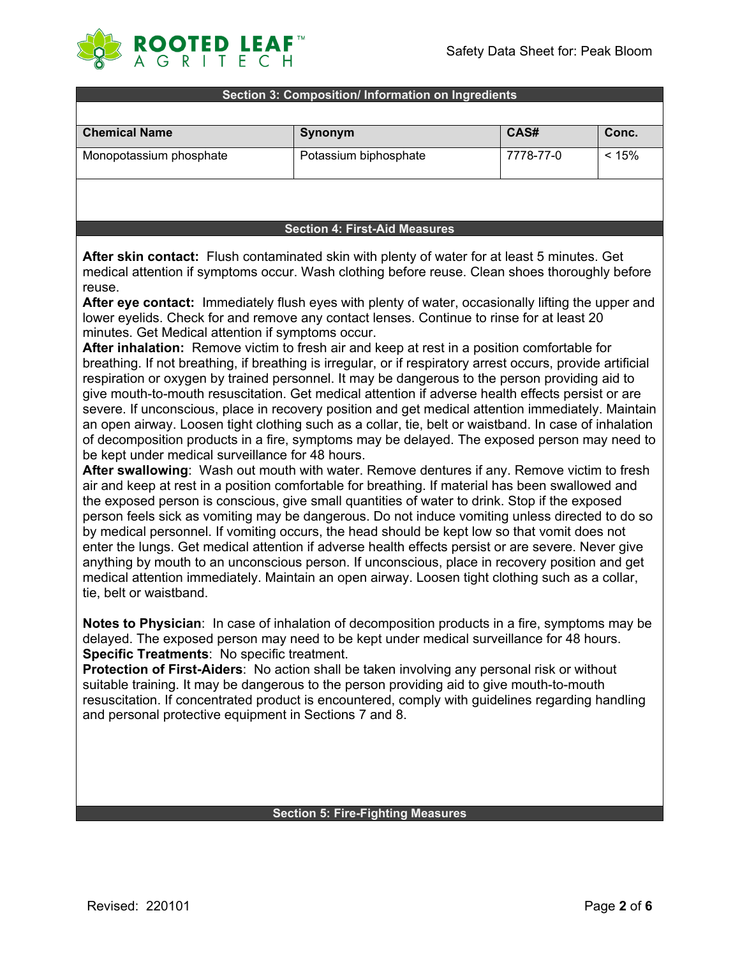

#### **Section 3: Composition/ Information on Ingredients**

| <b>Chemical Name</b>    | Synonym               | CAS#      | Conc. |
|-------------------------|-----------------------|-----------|-------|
| Monopotassium phosphate | Potassium biphosphate | 7778-77-0 | < 15% |
|                         |                       |           |       |

#### **Section 4: First-Aid Measures**

**After skin contact:** Flush contaminated skin with plenty of water for at least 5 minutes. Get medical attention if symptoms occur. Wash clothing before reuse. Clean shoes thoroughly before reuse.

**After eye contact:** Immediately flush eyes with plenty of water, occasionally lifting the upper and lower eyelids. Check for and remove any contact lenses. Continue to rinse for at least 20 minutes. Get Medical attention if symptoms occur.

**After inhalation:** Remove victim to fresh air and keep at rest in a position comfortable for breathing. If not breathing, if breathing is irregular, or if respiratory arrest occurs, provide artificial respiration or oxygen by trained personnel. It may be dangerous to the person providing aid to give mouth-to-mouth resuscitation. Get medical attention if adverse health effects persist or are severe. If unconscious, place in recovery position and get medical attention immediately. Maintain an open airway. Loosen tight clothing such as a collar, tie, belt or waistband. In case of inhalation of decomposition products in a fire, symptoms may be delayed. The exposed person may need to be kept under medical surveillance for 48 hours.

**After swallowing**: Wash out mouth with water. Remove dentures if any. Remove victim to fresh air and keep at rest in a position comfortable for breathing. If material has been swallowed and the exposed person is conscious, give small quantities of water to drink. Stop if the exposed person feels sick as vomiting may be dangerous. Do not induce vomiting unless directed to do so by medical personnel. If vomiting occurs, the head should be kept low so that vomit does not enter the lungs. Get medical attention if adverse health effects persist or are severe. Never give anything by mouth to an unconscious person. If unconscious, place in recovery position and get medical attention immediately. Maintain an open airway. Loosen tight clothing such as a collar, tie, belt or waistband.

**Notes to Physician**: In case of inhalation of decomposition products in a fire, symptoms may be delayed. The exposed person may need to be kept under medical surveillance for 48 hours. **Specific Treatments**: No specific treatment.

**Protection of First-Aiders**: No action shall be taken involving any personal risk or without suitable training. It may be dangerous to the person providing aid to give mouth-to-mouth resuscitation. If concentrated product is encountered, comply with guidelines regarding handling and personal protective equipment in Sections 7 and 8.

## **Section 5: Fire-Fighting Measures**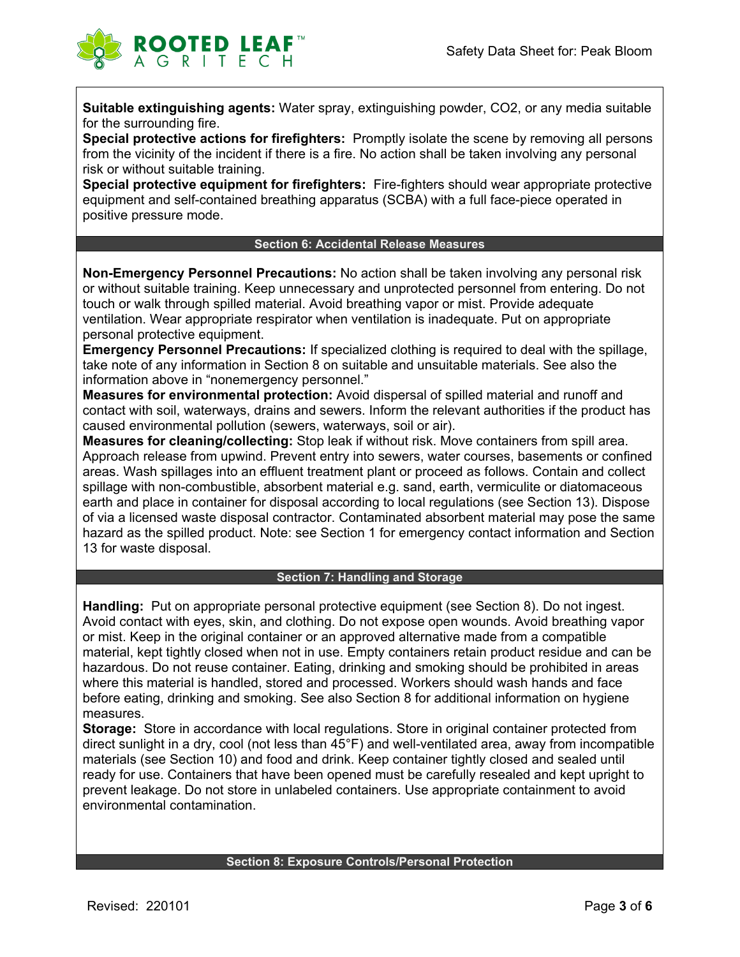

**Suitable extinguishing agents:** Water spray, extinguishing powder, CO2, or any media suitable for the surrounding fire.

**Special protective actions for firefighters:** Promptly isolate the scene by removing all persons from the vicinity of the incident if there is a fire. No action shall be taken involving any personal risk or without suitable training.

**Special protective equipment for firefighters:** Fire-fighters should wear appropriate protective equipment and self-contained breathing apparatus (SCBA) with a full face-piece operated in positive pressure mode.

## **Section 6: Accidental Release Measures**

**Non-Emergency Personnel Precautions:** No action shall be taken involving any personal risk or without suitable training. Keep unnecessary and unprotected personnel from entering. Do not touch or walk through spilled material. Avoid breathing vapor or mist. Provide adequate ventilation. Wear appropriate respirator when ventilation is inadequate. Put on appropriate personal protective equipment.

**Emergency Personnel Precautions:** If specialized clothing is required to deal with the spillage, take note of any information in Section 8 on suitable and unsuitable materials. See also the information above in "nonemergency personnel."

**Measures for environmental protection:** Avoid dispersal of spilled material and runoff and contact with soil, waterways, drains and sewers. Inform the relevant authorities if the product has caused environmental pollution (sewers, waterways, soil or air).

**Measures for cleaning/collecting:** Stop leak if without risk. Move containers from spill area. Approach release from upwind. Prevent entry into sewers, water courses, basements or confined areas. Wash spillages into an effluent treatment plant or proceed as follows. Contain and collect spillage with non-combustible, absorbent material e.g. sand, earth, vermiculite or diatomaceous earth and place in container for disposal according to local regulations (see Section 13). Dispose of via a licensed waste disposal contractor. Contaminated absorbent material may pose the same hazard as the spilled product. Note: see Section 1 for emergency contact information and Section 13 for waste disposal.

#### **Section 7: Handling and Storage**

**Handling:** Put on appropriate personal protective equipment (see Section 8). Do not ingest. Avoid contact with eyes, skin, and clothing. Do not expose open wounds. Avoid breathing vapor or mist. Keep in the original container or an approved alternative made from a compatible material, kept tightly closed when not in use. Empty containers retain product residue and can be hazardous. Do not reuse container. Eating, drinking and smoking should be prohibited in areas where this material is handled, stored and processed. Workers should wash hands and face before eating, drinking and smoking. See also Section 8 for additional information on hygiene measures.

**Storage:** Store in accordance with local regulations. Store in original container protected from direct sunlight in a dry, cool (not less than 45°F) and well-ventilated area, away from incompatible materials (see Section 10) and food and drink. Keep container tightly closed and sealed until ready for use. Containers that have been opened must be carefully resealed and kept upright to prevent leakage. Do not store in unlabeled containers. Use appropriate containment to avoid environmental contamination.

#### **Section 8: Exposure Controls/Personal Protection**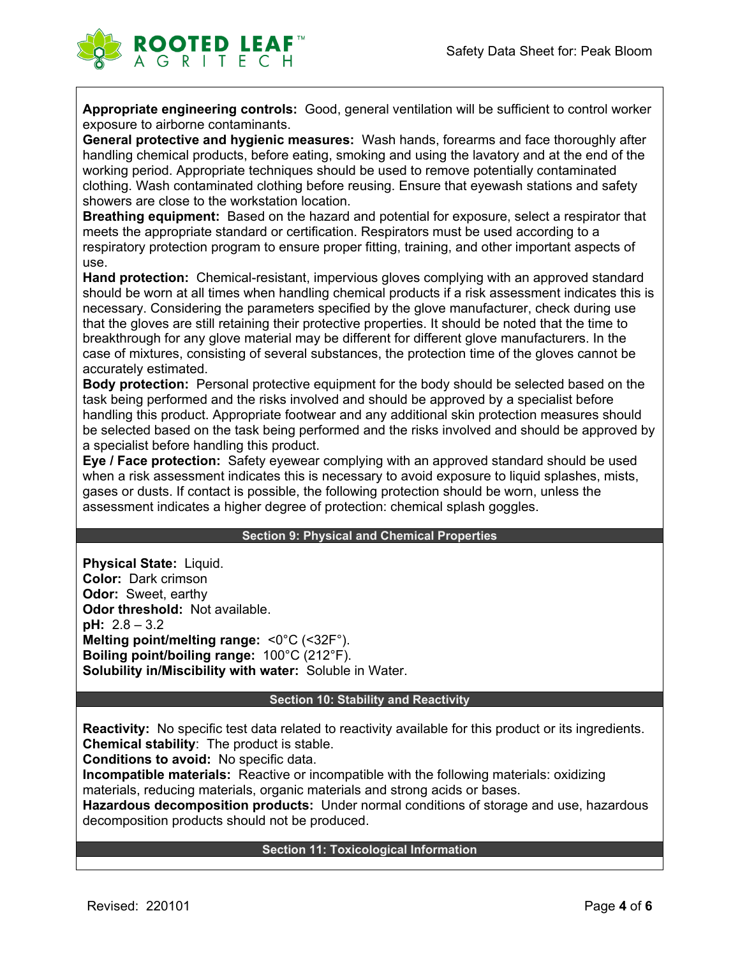

**Appropriate engineering controls:** Good, general ventilation will be sufficient to control worker exposure to airborne contaminants.

**General protective and hygienic measures:** Wash hands, forearms and face thoroughly after handling chemical products, before eating, smoking and using the lavatory and at the end of the working period. Appropriate techniques should be used to remove potentially contaminated clothing. Wash contaminated clothing before reusing. Ensure that eyewash stations and safety showers are close to the workstation location.

**Breathing equipment:** Based on the hazard and potential for exposure, select a respirator that meets the appropriate standard or certification. Respirators must be used according to a respiratory protection program to ensure proper fitting, training, and other important aspects of use.

**Hand protection:** Chemical-resistant, impervious gloves complying with an approved standard should be worn at all times when handling chemical products if a risk assessment indicates this is necessary. Considering the parameters specified by the glove manufacturer, check during use that the gloves are still retaining their protective properties. It should be noted that the time to breakthrough for any glove material may be different for different glove manufacturers. In the case of mixtures, consisting of several substances, the protection time of the gloves cannot be accurately estimated.

**Body protection:** Personal protective equipment for the body should be selected based on the task being performed and the risks involved and should be approved by a specialist before handling this product. Appropriate footwear and any additional skin protection measures should be selected based on the task being performed and the risks involved and should be approved by a specialist before handling this product.

**Eye / Face protection:** Safety eyewear complying with an approved standard should be used when a risk assessment indicates this is necessary to avoid exposure to liquid splashes, mists, gases or dusts. If contact is possible, the following protection should be worn, unless the assessment indicates a higher degree of protection: chemical splash goggles.

#### **Section 9: Physical and Chemical Properties**

**Physical State:** Liquid. **Color:** Dark crimson **Odor:** Sweet, earthy **Odor threshold:** Not available. **pH:** 2.8 – 3.2 **Melting point/melting range:** <0°C (<32F°). **Boiling point/boiling range:** 100°C (212°F). **Solubility in/Miscibility with water:** Soluble in Water.

#### **Section 10: Stability and Reactivity**

**Reactivity:** No specific test data related to reactivity available for this product or its ingredients. **Chemical stability**: The product is stable.

**Conditions to avoid:** No specific data.

**Incompatible materials:** Reactive or incompatible with the following materials: oxidizing materials, reducing materials, organic materials and strong acids or bases.

**Hazardous decomposition products:** Under normal conditions of storage and use, hazardous decomposition products should not be produced.

#### **Section 11: Toxicological Information**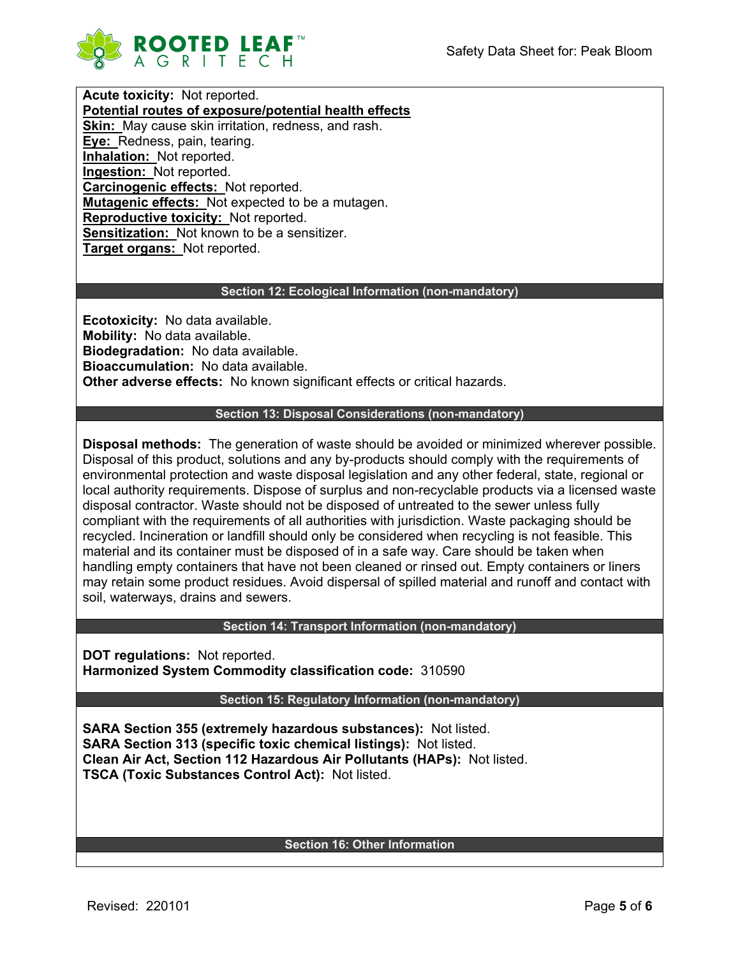

**Acute toxicity:** Not reported. **Potential routes of exposure/potential health effects Skin:** May cause skin irritation, redness, and rash. **Eye:** Redness, pain, tearing. **Inhalation:** Not reported. **Ingestion:** Not reported. **Carcinogenic effects:** Not reported. **Mutagenic effects:** Not expected to be a mutagen. **Reproductive toxicity:** Not reported. **Sensitization:** Not known to be a sensitizer. **Target organs:** Not reported.

## **Section 12: Ecological Information (non-mandatory)**

**Ecotoxicity:** No data available. **Mobility:** No data available. **Biodegradation:** No data available. **Bioaccumulation:** No data available. **Other adverse effects:** No known significant effects or critical hazards.

## **Section 13: Disposal Considerations (non-mandatory)**

**Disposal methods:** The generation of waste should be avoided or minimized wherever possible. Disposal of this product, solutions and any by-products should comply with the requirements of environmental protection and waste disposal legislation and any other federal, state, regional or local authority requirements. Dispose of surplus and non-recyclable products via a licensed waste disposal contractor. Waste should not be disposed of untreated to the sewer unless fully compliant with the requirements of all authorities with jurisdiction. Waste packaging should be recycled. Incineration or landfill should only be considered when recycling is not feasible. This material and its container must be disposed of in a safe way. Care should be taken when handling empty containers that have not been cleaned or rinsed out. Empty containers or liners may retain some product residues. Avoid dispersal of spilled material and runoff and contact with soil, waterways, drains and sewers.

#### **Section 14: Transport Information (non-mandatory)**

**DOT regulations:** Not reported. **Harmonized System Commodity classification code:** 310590

#### **Section 15: Regulatory Information (non-mandatory)**

**SARA Section 355 (extremely hazardous substances):** Not listed. **SARA Section 313 (specific toxic chemical listings):** Not listed. **Clean Air Act, Section 112 Hazardous Air Pollutants (HAPs):** Not listed. **TSCA (Toxic Substances Control Act):** Not listed.

## **Section 16: Other Information**